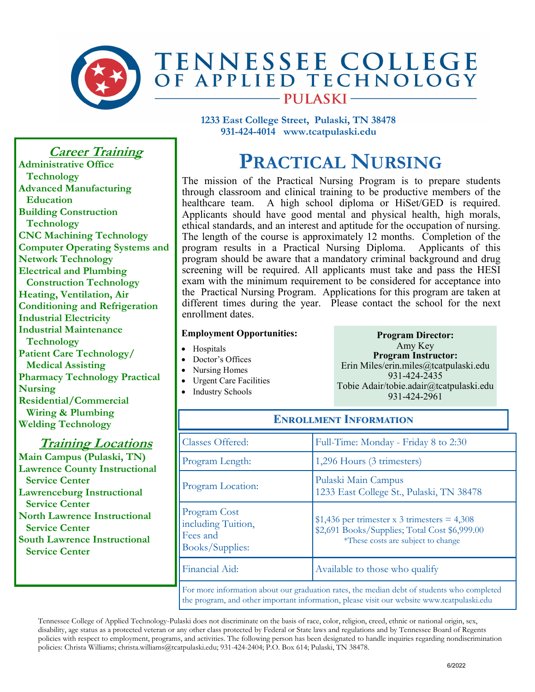

**1233 East College Street, Pulaski, TN 38478 931-424-4014 www.tcatpulaski.edu** 

## **PRACTICAL NURSING**

The mission of the Practical Nursing Program is to prepare students through classroom and clinical training to be productive members of the healthcare team. A high school diploma or HiSet/GED is required. Applicants should have good mental and physical health, high morals, ethical standards, and an interest and aptitude for the occupation of nursing. The length of the course is approximately 12 months. Completion of the program results in a Practical Nursing Diploma. Applicants of this program should be aware that a mandatory criminal background and drug screening will be required. All applicants must take and pass the HESI exam with the minimum requirement to be considered for acceptance into the Practical Nursing Program. Applications for this program are taken at different times during the year. Please contact the school for the next enrollment dates.

## **Employment Opportunities:**

- Hospitals
- Doctor's Offices
- Nursing Homes
- Urgent Care Facilities
- Industry Schools

**Program Director:** Amy Key **Program Instructor:** Erin Miles/erin.miles@tcatpulaski.edu 931-424-2435 Tobie Adair/tobie.adair@tcatpulaski.edu 931-424-2961

| <b>ENROLLMENT INFORMATION</b>                                     |                                                                                                                                                                                          |
|-------------------------------------------------------------------|------------------------------------------------------------------------------------------------------------------------------------------------------------------------------------------|
| Classes Offered:                                                  | Full-Time: Monday - Friday 8 to 2:30                                                                                                                                                     |
| Program Length:                                                   | 1,296 Hours (3 trimesters)                                                                                                                                                               |
| Program Location:                                                 | Pulaski Main Campus<br>1233 East College St., Pulaski, TN 38478                                                                                                                          |
| Program Cost<br>including Tuition,<br>Fees and<br>Books/Supplies: | \$1,436 per trimester x 3 trimesters = $4,308$<br>\$2,691 Books/Supplies; Total Cost \$6,999.00<br>*These costs are subject to change                                                    |
| Financial Aid:                                                    | Available to those who qualify                                                                                                                                                           |
|                                                                   | For more information about our graduation rates, the median debt of students who completed<br>the program, and other important information, please visit our website www.tcatpulaski.edu |

Tennessee College of Applied Technology-Pulaski does not discriminate on the basis of race, color, religion, creed, ethnic or national origin, sex, disability, age status as a protected veteran or any other class protected by Federal or State laws and regulations and by Tennessee Board of Regents policies with respect to employment, programs, and activities. The following person has been designated to handle inquiries regarding nondiscrimination policies: Christa Williams; christa.williams@tcatpulaski.edu; 931-424-2404; P.O. Box 614; Pulaski, TN 38478.

**Career Training**

**Administrative Office Technology Advanced Manufacturing Education Building Construction Technology CNC Machining Technology Computer Operating Systems and Network Technology Electrical and Plumbing Construction Technology Heating, Ventilation, Air Conditioning and Refrigeration Industrial Electricity Industrial Maintenance Technology Patient Care Technology/ Medical Assisting Pharmacy Technology Practical Nursing Residential/Commercial Wiring & Plumbing Welding Technology** 

## **Training Locations**

**Main Campus (Pulaski, TN) Lawrence County Instructional Service Center Lawrenceburg Instructional Service Center North Lawrence Instructional Service Center South Lawrence Instructional Service Center**

6/2022